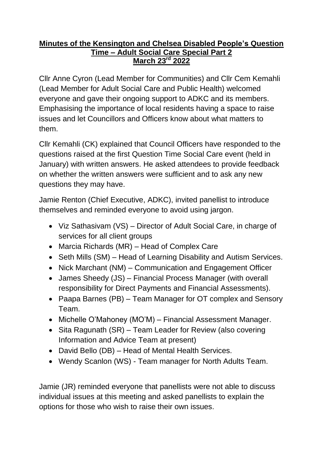## **Minutes of the Kensington and Chelsea Disabled People's Question Time – Adult Social Care Special Part 2 March 23rd 2022**

Cllr Anne Cyron (Lead Member for Communities) and Cllr Cem Kemahli (Lead Member for Adult Social Care and Public Health) welcomed everyone and gave their ongoing support to ADKC and its members. Emphasising the importance of local residents having a space to raise issues and let Councillors and Officers know about what matters to them.

Cllr Kemahli (CK) explained that Council Officers have responded to the questions raised at the first Question Time Social Care event (held in January) with written answers. He asked attendees to provide feedback on whether the written answers were sufficient and to ask any new questions they may have.

Jamie Renton (Chief Executive, ADKC), invited panellist to introduce themselves and reminded everyone to avoid using jargon.

- Viz Sathasivam (VS) Director of Adult Social Care, in charge of services for all client groups
- Marcia Richards (MR) Head of Complex Care
- Seth Mills (SM) Head of Learning Disability and Autism Services.
- Nick Marchant (NM) Communication and Engagement Officer
- James Sheedy (JS) Financial Process Manager (with overall responsibility for Direct Payments and Financial Assessments).
- Paapa Barnes (PB) Team Manager for OT complex and Sensory Team.
- Michelle O'Mahoney (MO'M) Financial Assessment Manager.
- Sita Ragunath (SR) Team Leader for Review (also covering Information and Advice Team at present)
- David Bello (DB) Head of Mental Health Services.
- Wendy Scanlon (WS) Team manager for North Adults Team.

Jamie (JR) reminded everyone that panellists were not able to discuss individual issues at this meeting and asked panellists to explain the options for those who wish to raise their own issues.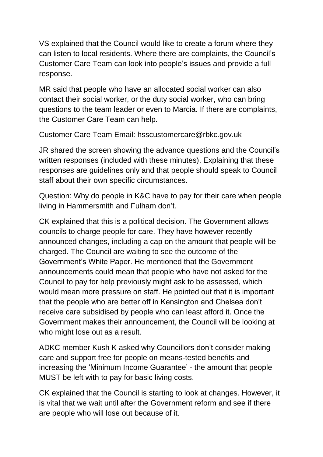VS explained that the Council would like to create a forum where they can listen to local residents. Where there are complaints, the Council's Customer Care Team can look into people's issues and provide a full response.

MR said that people who have an allocated social worker can also contact their social worker, or the duty social worker, who can bring questions to the team leader or even to Marcia. If there are complaints, the Customer Care Team can help.

Customer Care Team Email: hsscustomercare@rbkc.gov.uk

JR shared the screen showing the advance questions and the Council's written responses (included with these minutes). Explaining that these responses are guidelines only and that people should speak to Council staff about their own specific circumstances.

Question: Why do people in K&C have to pay for their care when people living in Hammersmith and Fulham don't.

CK explained that this is a political decision. The Government allows councils to charge people for care. They have however recently announced changes, including a cap on the amount that people will be charged. The Council are waiting to see the outcome of the Government's White Paper. He mentioned that the Government announcements could mean that people who have not asked for the Council to pay for help previously might ask to be assessed, which would mean more pressure on staff. He pointed out that it is important that the people who are better off in Kensington and Chelsea don't receive care subsidised by people who can least afford it. Once the Government makes their announcement, the Council will be looking at who might lose out as a result.

ADKC member Kush K asked why Councillors don't consider making care and support free for people on means-tested benefits and increasing the 'Minimum Income Guarantee' - the amount that people MUST be left with to pay for basic living costs.

CK explained that the Council is starting to look at changes. However, it is vital that we wait until after the Government reform and see if there are people who will lose out because of it.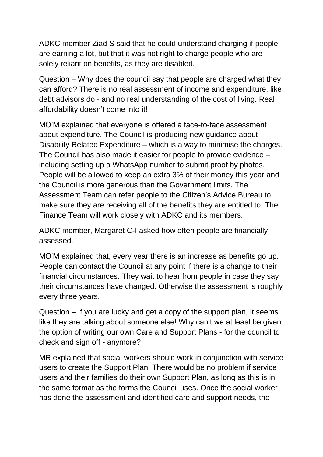ADKC member Ziad S said that he could understand charging if people are earning a lot, but that it was not right to charge people who are solely reliant on benefits, as they are disabled.

Question – Why does the council say that people are charged what they can afford? There is no real assessment of income and expenditure, like debt advisors do - and no real understanding of the cost of living. Real affordability doesn't come into it!

MO'M explained that everyone is offered a face-to-face assessment about expenditure. The Council is producing new guidance about Disability Related Expenditure – which is a way to minimise the charges. The Council has also made it easier for people to provide evidence – including setting up a WhatsApp number to submit proof by photos. People will be allowed to keep an extra 3% of their money this year and the Council is more generous than the Government limits. The Assessment Team can refer people to the Citizen's Advice Bureau to make sure they are receiving all of the benefits they are entitled to. The Finance Team will work closely with ADKC and its members.

ADKC member, Margaret C-I asked how often people are financially assessed.

MO'M explained that, every year there is an increase as benefits go up. People can contact the Council at any point if there is a change to their financial circumstances. They wait to hear from people in case they say their circumstances have changed. Otherwise the assessment is roughly every three years.

Question – If you are lucky and get a copy of the support plan, it seems like they are talking about someone else! Why can't we at least be given the option of writing our own Care and Support Plans - for the council to check and sign off - anymore?

MR explained that social workers should work in conjunction with service users to create the Support Plan. There would be no problem if service users and their families do their own Support Plan, as long as this is in the same format as the forms the Council uses. Once the social worker has done the assessment and identified care and support needs, the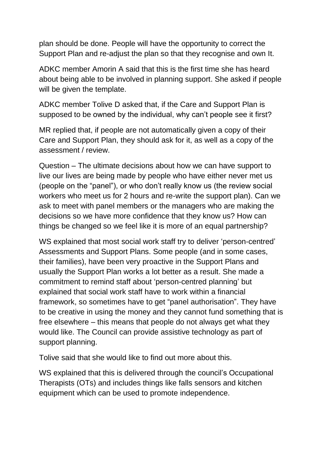plan should be done. People will have the opportunity to correct the Support Plan and re-adjust the plan so that they recognise and own It.

ADKC member Amorin A said that this is the first time she has heard about being able to be involved in planning support. She asked if people will be given the template.

ADKC member Tolive D asked that, if the Care and Support Plan is supposed to be owned by the individual, why can't people see it first?

MR replied that, if people are not automatically given a copy of their Care and Support Plan, they should ask for it, as well as a copy of the assessment / review.

Question – The ultimate decisions about how we can have support to live our lives are being made by people who have either never met us (people on the "panel"), or who don't really know us (the review social workers who meet us for 2 hours and re-write the support plan). Can we ask to meet with panel members or the managers who are making the decisions so we have more confidence that they know us? How can things be changed so we feel like it is more of an equal partnership?

WS explained that most social work staff try to deliver 'person-centred' Assessments and Support Plans. Some people (and in some cases, their families), have been very proactive in the Support Plans and usually the Support Plan works a lot better as a result. She made a commitment to remind staff about 'person-centred planning' but explained that social work staff have to work within a financial framework, so sometimes have to get "panel authorisation". They have to be creative in using the money and they cannot fund something that is free elsewhere – this means that people do not always get what they would like. The Council can provide assistive technology as part of support planning.

Tolive said that she would like to find out more about this.

WS explained that this is delivered through the council's Occupational Therapists (OTs) and includes things like falls sensors and kitchen equipment which can be used to promote independence.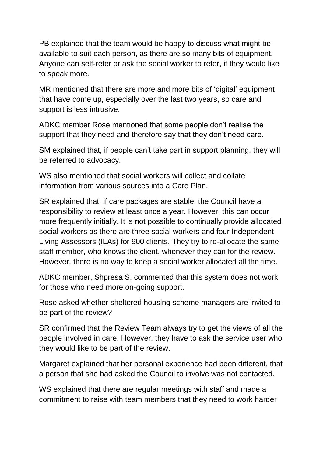PB explained that the team would be happy to discuss what might be available to suit each person, as there are so many bits of equipment. Anyone can self-refer or ask the social worker to refer, if they would like to speak more.

MR mentioned that there are more and more bits of 'digital' equipment that have come up, especially over the last two years, so care and support is less intrusive.

ADKC member Rose mentioned that some people don't realise the support that they need and therefore say that they don't need care.

SM explained that, if people can't take part in support planning, they will be referred to advocacy.

WS also mentioned that social workers will collect and collate information from various sources into a Care Plan.

SR explained that, if care packages are stable, the Council have a responsibility to review at least once a year. However, this can occur more frequently initially. It is not possible to continually provide allocated social workers as there are three social workers and four Independent Living Assessors (ILAs) for 900 clients. They try to re-allocate the same staff member, who knows the client, whenever they can for the review. However, there is no way to keep a social worker allocated all the time.

ADKC member, Shpresa S, commented that this system does not work for those who need more on-going support.

Rose asked whether sheltered housing scheme managers are invited to be part of the review?

SR confirmed that the Review Team always try to get the views of all the people involved in care. However, they have to ask the service user who they would like to be part of the review.

Margaret explained that her personal experience had been different, that a person that she had asked the Council to involve was not contacted.

WS explained that there are regular meetings with staff and made a commitment to raise with team members that they need to work harder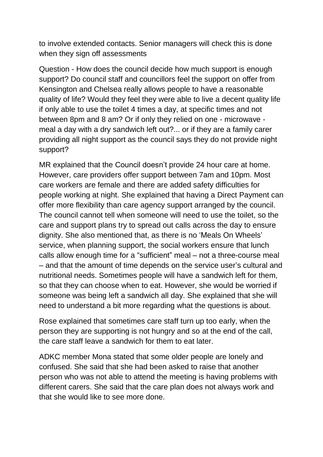to involve extended contacts. Senior managers will check this is done when they sign off assessments

Question - How does the council decide how much support is enough support? Do council staff and councillors feel the support on offer from Kensington and Chelsea really allows people to have a reasonable quality of life? Would they feel they were able to live a decent quality life if only able to use the toilet 4 times a day, at specific times and not between 8pm and 8 am? Or if only they relied on one - microwave meal a day with a dry sandwich left out?... or if they are a family carer providing all night support as the council says they do not provide night support?

MR explained that the Council doesn't provide 24 hour care at home. However, care providers offer support between 7am and 10pm. Most care workers are female and there are added safety difficulties for people working at night. She explained that having a Direct Payment can offer more flexibility than care agency support arranged by the council. The council cannot tell when someone will need to use the toilet, so the care and support plans try to spread out calls across the day to ensure dignity. She also mentioned that, as there is no 'Meals On Wheels' service, when planning support, the social workers ensure that lunch calls allow enough time for a "sufficient" meal – not a three-course meal – and that the amount of time depends on the service user's cultural and nutritional needs. Sometimes people will have a sandwich left for them, so that they can choose when to eat. However, she would be worried if someone was being left a sandwich all day. She explained that she will need to understand a bit more regarding what the questions is about.

Rose explained that sometimes care staff turn up too early, when the person they are supporting is not hungry and so at the end of the call, the care staff leave a sandwich for them to eat later.

ADKC member Mona stated that some older people are lonely and confused. She said that she had been asked to raise that another person who was not able to attend the meeting is having problems with different carers. She said that the care plan does not always work and that she would like to see more done.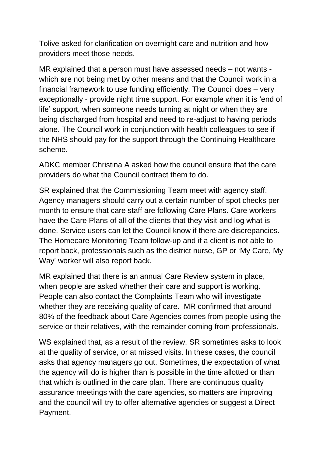Tolive asked for clarification on overnight care and nutrition and how providers meet those needs.

MR explained that a person must have assessed needs – not wants which are not being met by other means and that the Council work in a financial framework to use funding efficiently. The Council does – very exceptionally - provide night time support. For example when it is 'end of life' support, when someone needs turning at night or when they are being discharged from hospital and need to re-adjust to having periods alone. The Council work in conjunction with health colleagues to see if the NHS should pay for the support through the Continuing Healthcare scheme.

ADKC member Christina A asked how the council ensure that the care providers do what the Council contract them to do.

SR explained that the Commissioning Team meet with agency staff. Agency managers should carry out a certain number of spot checks per month to ensure that care staff are following Care Plans. Care workers have the Care Plans of all of the clients that they visit and log what is done. Service users can let the Council know if there are discrepancies. The Homecare Monitoring Team follow-up and if a client is not able to report back, professionals such as the district nurse, GP or 'My Care, My Way' worker will also report back.

MR explained that there is an annual Care Review system in place, when people are asked whether their care and support is working. People can also contact the Complaints Team who will investigate whether they are receiving quality of care. MR confirmed that around 80% of the feedback about Care Agencies comes from people using the service or their relatives, with the remainder coming from professionals.

WS explained that, as a result of the review, SR sometimes asks to look at the quality of service, or at missed visits. In these cases, the council asks that agency managers go out. Sometimes, the expectation of what the agency will do is higher than is possible in the time allotted or than that which is outlined in the care plan. There are continuous quality assurance meetings with the care agencies, so matters are improving and the council will try to offer alternative agencies or suggest a Direct Payment.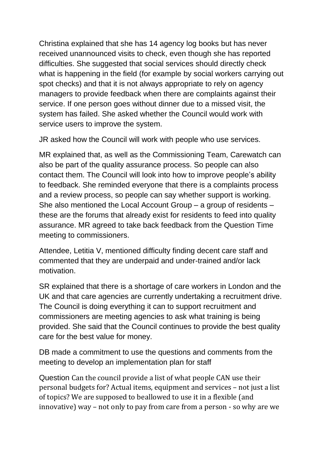Christina explained that she has 14 agency log books but has never received unannounced visits to check, even though she has reported difficulties. She suggested that social services should directly check what is happening in the field (for example by social workers carrying out spot checks) and that it is not always appropriate to rely on agency managers to provide feedback when there are complaints against their service. If one person goes without dinner due to a missed visit, the system has failed. She asked whether the Council would work with service users to improve the system.

JR asked how the Council will work with people who use services.

MR explained that, as well as the Commissioning Team, Carewatch can also be part of the quality assurance process. So people can also contact them. The Council will look into how to improve people's ability to feedback. She reminded everyone that there is a complaints process and a review process, so people can say whether support is working. She also mentioned the Local Account Group – a group of residents – these are the forums that already exist for residents to feed into quality assurance. MR agreed to take back feedback from the Question Time meeting to commissioners.

Attendee, Letitia V, mentioned difficulty finding decent care staff and commented that they are underpaid and under-trained and/or lack motivation.

SR explained that there is a shortage of care workers in London and the UK and that care agencies are currently undertaking a recruitment drive. The Council is doing everything it can to support recruitment and commissioners are meeting agencies to ask what training is being provided. She said that the Council continues to provide the best quality care for the best value for money.

DB made a commitment to use the questions and comments from the meeting to develop an implementation plan for staff

Question Can the council provide a list of what people CAN use their personal budgets for? Actual items, equipment and services – not just a list of topics? We are supposed to beallowed to use it in a flexible (and innovative) way – not only to pay from care from a person - so why are we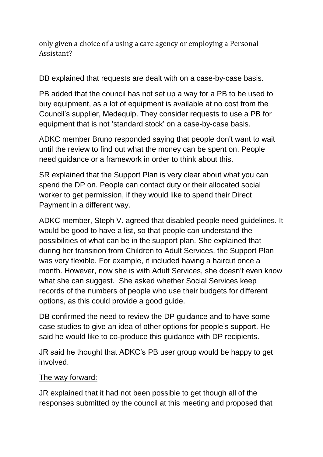only given a choice of a using a care agency or employing a Personal Assistant?

DB explained that requests are dealt with on a case-by-case basis.

PB added that the council has not set up a way for a PB to be used to buy equipment, as a lot of equipment is available at no cost from the Council's supplier, Medequip. They consider requests to use a PB for equipment that is not 'standard stock' on a case-by-case basis.

ADKC member Bruno responded saying that people don't want to wait until the review to find out what the money can be spent on. People need guidance or a framework in order to think about this.

SR explained that the Support Plan is very clear about what you can spend the DP on. People can contact duty or their allocated social worker to get permission, if they would like to spend their Direct Payment in a different way.

ADKC member, Steph V. agreed that disabled people need guidelines. It would be good to have a list, so that people can understand the possibilities of what can be in the support plan. She explained that during her transition from Children to Adult Services, the Support Plan was very flexible. For example, it included having a haircut once a month. However, now she is with Adult Services, she doesn't even know what she can suggest. She asked whether Social Services keep records of the numbers of people who use their budgets for different options, as this could provide a good guide.

DB confirmed the need to review the DP guidance and to have some case studies to give an idea of other options for people's support. He said he would like to co-produce this guidance with DP recipients.

JR said he thought that ADKC's PB user group would be happy to get involved.

## The way forward:

JR explained that it had not been possible to get though all of the responses submitted by the council at this meeting and proposed that